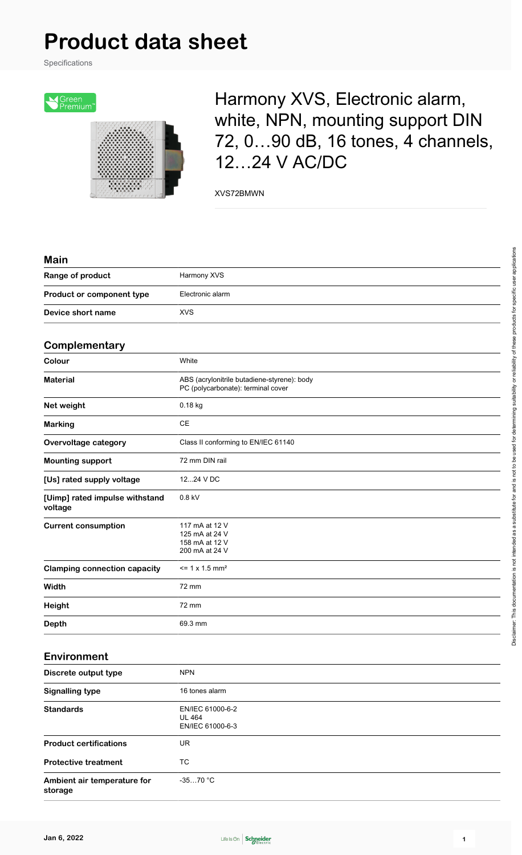# **Product data sheet**

Specifications



## Harmony XVS, Electronic alarm, white, NPN, mounting support DIN 72, 0…90 dB, 16 tones, 4 channels, 12…24 V AC/DC

XVS72BMWN

| Main                                      |                                                                                   |
|-------------------------------------------|-----------------------------------------------------------------------------------|
| Range of product                          | Harmony XVS                                                                       |
| Product or component type                 | Electronic alarm                                                                  |
| Device short name                         | <b>XVS</b>                                                                        |
| Complementary                             |                                                                                   |
| Colour                                    | White                                                                             |
| <b>Material</b>                           | ABS (acrylonitrile butadiene-styrene): body<br>PC (polycarbonate): terminal cover |
| Net weight                                | 0.18 kg                                                                           |
| <b>Marking</b>                            | <b>CE</b>                                                                         |
| <b>Overvoltage category</b>               | Class II conforming to EN/IEC 61140                                               |
| <b>Mounting support</b>                   | 72 mm DIN rail                                                                    |
| [Us] rated supply voltage                 | 1224 V DC                                                                         |
| [Uimp] rated impulse withstand<br>voltage | 0.8 kV                                                                            |
| <b>Current consumption</b>                | 117 mA at 12 V<br>125 mA at 24 V<br>158 mA at 12 V<br>200 mA at 24 V              |
| <b>Clamping connection capacity</b>       | $= 1 x 1.5 mm2$                                                                   |
| Width                                     | 72 mm                                                                             |
| <b>Height</b>                             | 72 mm                                                                             |
| Depth                                     | 69.3 mm                                                                           |
|                                           |                                                                                   |

#### **Environment**

| Discrete output type                   | <b>NPN</b>                                            |
|----------------------------------------|-------------------------------------------------------|
| <b>Signalling type</b>                 | 16 tones alarm                                        |
| <b>Standards</b>                       | EN/IEC 61000-6-2<br><b>UL 464</b><br>EN/IEC 61000-6-3 |
| <b>Product certifications</b>          | UR.                                                   |
| <b>Protective treatment</b>            | TC                                                    |
| Ambient air temperature for<br>storage | $-3570 °C$                                            |

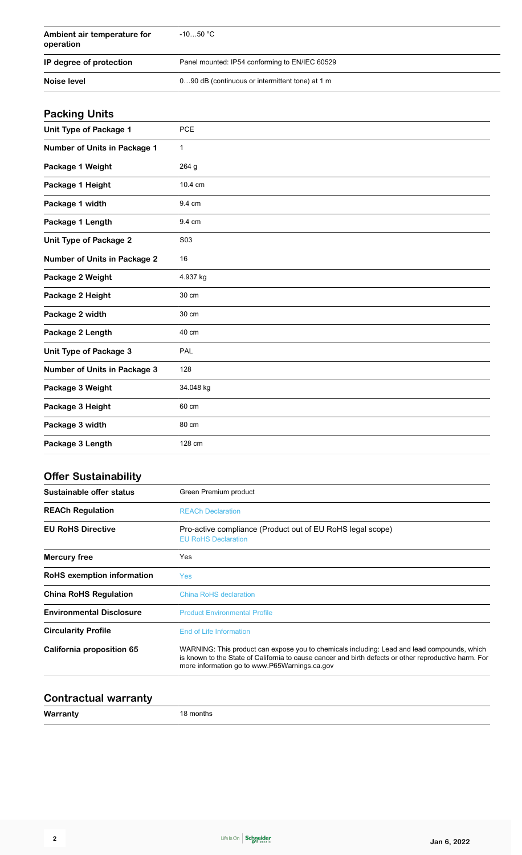| Ambient air temperature for<br>operation | $-1050 °C$                                      |
|------------------------------------------|-------------------------------------------------|
| IP degree of protection                  | Panel mounted: IP54 conforming to EN/IEC 60529  |
| Noise level                              | 090 dB (continuous or intermittent tone) at 1 m |

## **Packing Units**

| Unit Type of Package 1              | <b>PCE</b>      |
|-------------------------------------|-----------------|
| Number of Units in Package 1        | 1               |
| Package 1 Weight                    | 264 g           |
| Package 1 Height                    | 10.4 cm         |
| Package 1 width                     | 9.4 cm          |
| Package 1 Length                    | 9.4 cm          |
| <b>Unit Type of Package 2</b>       | S <sub>03</sub> |
| <b>Number of Units in Package 2</b> | 16              |
| Package 2 Weight                    | 4.937 kg        |
| Package 2 Height                    | 30 cm           |
| Package 2 width                     | 30 cm           |
| Package 2 Length                    | 40 cm           |
| Unit Type of Package 3              | PAL             |
| <b>Number of Units in Package 3</b> | 128             |
| Package 3 Weight                    | 34.048 kg       |
| Package 3 Height                    | 60 cm           |
| Package 3 width                     | 80 cm           |
| Package 3 Length                    | 128 cm          |

## **Offer Sustainability**

| Sustainable offer status          | Green Premium product                                                                                                                                                                                                                                 |
|-----------------------------------|-------------------------------------------------------------------------------------------------------------------------------------------------------------------------------------------------------------------------------------------------------|
| <b>REACh Regulation</b>           | <b>REACh Declaration</b>                                                                                                                                                                                                                              |
| <b>EU RoHS Directive</b>          | Pro-active compliance (Product out of EU RoHS legal scope)<br><b>EU RoHS Declaration</b>                                                                                                                                                              |
| <b>Mercury free</b>               | Yes                                                                                                                                                                                                                                                   |
| <b>RoHS</b> exemption information | <b>Yes</b>                                                                                                                                                                                                                                            |
| <b>China RoHS Regulation</b>      | <b>China RoHS declaration</b>                                                                                                                                                                                                                         |
| <b>Environmental Disclosure</b>   | <b>Product Environmental Profile</b>                                                                                                                                                                                                                  |
| <b>Circularity Profile</b>        | End of Life Information                                                                                                                                                                                                                               |
| California proposition 65         | WARNING: This product can expose you to chemicals including: Lead and lead compounds, which<br>is known to the State of California to cause cancer and birth defects or other reproductive harm. For<br>more information go to www.P65Warnings.ca.gov |

#### **Contractual warranty**

**Warranty** 18 months